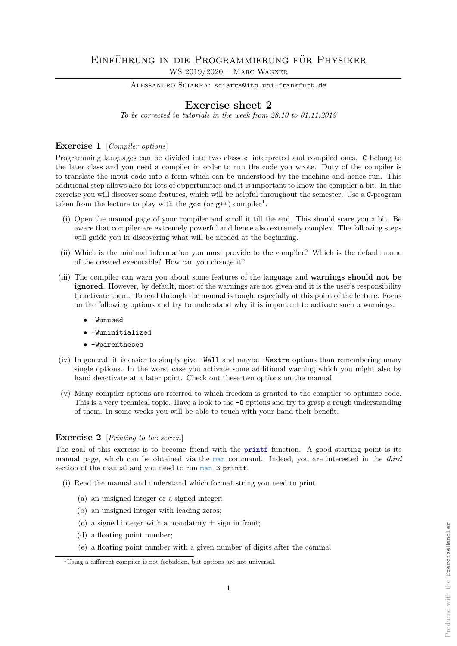# EINFÜHRUNG IN DIE PROGRAMMIERUNG FÜR PHYSIKER WS 2019/2020 – Marc Wagner

ALESSANDRO SCIARRA: sciarra@itp.uni-frankfurt.de

# Exercise sheet 2

To be corrected in tutorials in the week from 28.10 to 01.11.2019

## Exercise 1 [Compiler options]

Programming languages can be divided into two classes: interpreted and compiled ones. C belong to the later class and you need a compiler in order to run the code you wrote. Duty of the compiler is to translate the input code into a form which can be understood by the machine and hence run. This additional step allows also for lots of opportunities and it is important to know the compiler a bit. In this exercise you will discover some features, which will be helpful throughout the semester. Use a C-program taken from the lecture to play with the  $\text{gcc}$  (or  $\text{g++}$ ) compiler<sup>1</sup>.

- (i) Open the manual page of your compiler and scroll it till the end. This should scare you a bit. Be aware that compiler are extremely powerful and hence also extremely complex. The following steps will guide you in discovering what will be needed at the beginning.
- (ii) Which is the minimal information you must provide to the compiler? Which is the default name of the created executable? How can you change it?
- (iii) The compiler can warn you about some features of the language and warnings should not be ignored. However, by default, most of the warnings are not given and it is the user's responsibility to activate them. To read through the manual is tough, especially at this point of the lecture. Focus on the following options and try to understand why it is important to activate such a warnings.
	- -Wunused
	- -Wuninitialized
	- -Wparentheses
- (iv) In general, it is easier to simply give -Wall and maybe -Wextra options than remembering many single options. In the worst case you activate some additional warning which you might also by hand deactivate at a later point. Check out these two options on the manual.
- (v) Many compiler options are referred to which freedom is granted to the compiler to optimize code. This is a very technical topic. Have a look to the  $-0$  options and try to grasp a rough understanding of them. In some weeks you will be able to touch with your hand their benefit.

## Exercise 2 [*Printing to the screen*]

The goal of this exercise is to become friend with the printf function. A good starting point is its manual page, which can be obtained via the man command. Indeed, you are interested in the third section of the manual and you need to run man 3 printf.

- (i) Read the manual and understand which format string you need to print
	- (a) an unsigned integer or a signed integer;
	- (b) an unsigned integer with leading zeros;
	- (c) a signed integer with a mandatory  $\pm$  sign in front;
	- (d) a floating point number;
	- (e) a floating point number with a given number of digits after the comma;

<sup>1</sup>Using a different compiler is not forbidden, but options are not universal.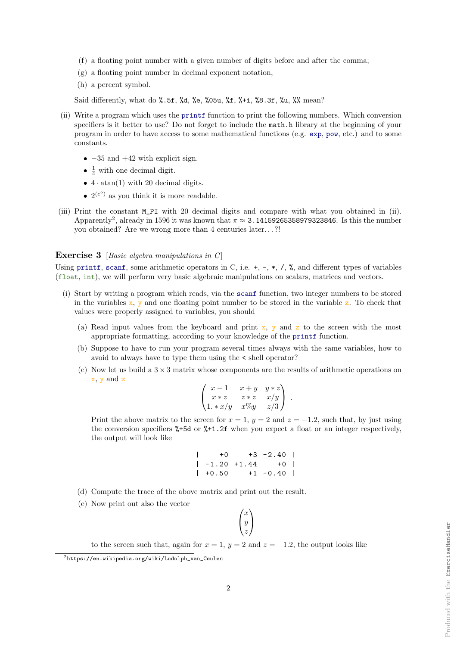- (f) a floating point number with a given number of digits before and after the comma;
- (g) a floating point number in decimal exponent notation,
- (h) a percent symbol.

Said differently, what do %.5f, %d, %e, %05u, %f, %+i, %8.3f, %u, %% mean?

- (ii) Write a program which uses the printf function to print the following numbers. Which conversion specifiers is it better to use? Do not forget to include the math.h library at the beginning of your program in order to have access to some mathematical functions (e.g. exp, pow, etc.) and to some constants.
	- $-35$  and  $+42$  with explicit sign.
	- $\frac{1}{4}$  with one decimal digit.
	- $4 \cdot \text{atan}(1)$  with 20 decimal digits.
	- $2^{(e^5)}$  as you think it is more readable.
- (iii) Print the constant M\_PI with 20 decimal digits and compare with what you obtained in (ii). Apparently<sup>2</sup>, already in 1596 it was known that  $\pi \approx 3.14159265358979323846$ . Is this the number you obtained? Are we wrong more than 4 centuries later. . . ?!

#### **Exercise 3** [Basic algebra manipulations in  $C$ ]

Using printf, scanf, some arithmetic operators in C, i.e.  $+$ ,  $-$ ,  $*$ ,  $/$ ,  $\%$ , and different types of variables (float, int), we will perform very basic algebraic manipulations on scalars, matrices and vectors.

- (i) Start by writing a program which reads, via the scanf function, two integer numbers to be stored in the variables  $x$ , y and one floating point number to be stored in the variable z. To check that values were properly assigned to variables, you should
	- (a) Read input values from the keyboard and print  $x$ , y and z to the screen with the most appropriate formatting, according to your knowledge of the printf function.
	- (b) Suppose to have to run your program several times always with the same variables, how to avoid to always have to type them using the < shell operator?
	- (c) Now let us build a  $3 \times 3$  matrix whose components are the results of arithmetic operations on x, y and z

$$
\begin{pmatrix} x-1 & x+y & y*z \\ x*z & z*z & x/y \\ 1. * x/y & x\%y & z/3 \end{pmatrix}.
$$

Print the above matrix to the screen for  $x = 1$ ,  $y = 2$  and  $z = -1.2$ , such that, by just using the conversion specifiers %+5d or %+1.2f when you expect a float or an integer respectively, the output will look like

$$
\begin{array}{cccc}\n| & +0 & +3 & -2.40 \\
| & -1.20 & +1.44 & +0 \\
| & +0.50 & +1 & -0.40\n\end{array}
$$

- (d) Compute the trace of the above matrix and print out the result.
- (e) Now print out also the vector

| $\boldsymbol{x}$ |  |
|------------------|--|
| y                |  |
|                  |  |

to the screen such that, again for  $x = 1$ ,  $y = 2$  and  $z = -1.2$ , the output looks like

2

<sup>2</sup>https://en.wikipedia.org/wiki/Ludolph\_van\_Ceulen